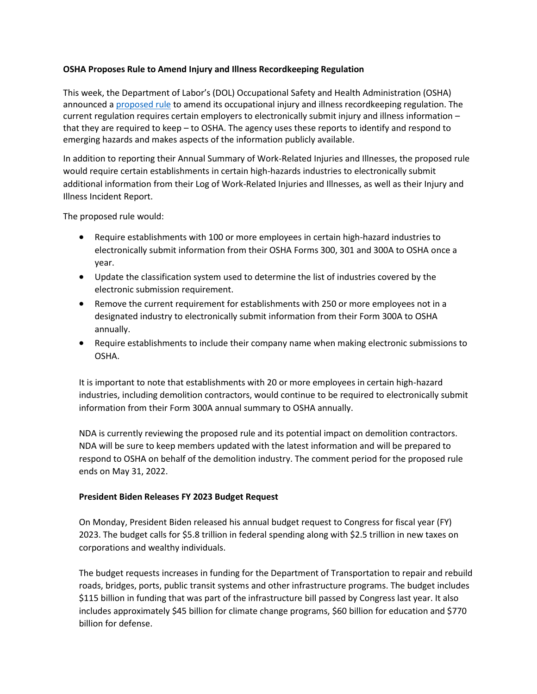## **OSHA Proposes Rule to Amend Injury and Illness Recordkeeping Regulation**

This week, the Department of Labor's (DOL) Occupational Safety and Health Administration (OSHA) announced a [proposed rule](https://www.federalregister.gov/documents/2022/03/30/2022-06546/improve-tracking-of-workplace-injuries-and-illnesses) to amend its occupational injury and illness recordkeeping regulation. The current regulation requires certain employers to electronically submit injury and illness information – that they are required to keep – to OSHA. The agency uses these reports to identify and respond to emerging hazards and makes aspects of the information publicly available.

In addition to reporting their Annual Summary of Work-Related Injuries and Illnesses, the proposed rule would require certain establishments in certain high-hazards industries to electronically submit additional information from their Log of Work-Related Injuries and Illnesses, as well as their Injury and Illness Incident Report.

The proposed rule would:

- Require establishments with 100 or more employees in certain high-hazard industries to electronically submit information from their OSHA Forms 300, 301 and 300A to OSHA once a year.
- Update the classification system used to determine the list of industries covered by the electronic submission requirement.
- Remove the current requirement for establishments with 250 or more employees not in a designated industry to electronically submit information from their Form 300A to OSHA annually.
- Require establishments to include their company name when making electronic submissions to OSHA.

It is important to note that establishments with 20 or more employees in certain high-hazard industries, including demolition contractors, would continue to be required to electronically submit information from their Form 300A annual summary to OSHA annually.

NDA is currently reviewing the proposed rule and its potential impact on demolition contractors. NDA will be sure to keep members updated with the latest information and will be prepared to respond to OSHA on behalf of the demolition industry. The comment period for the proposed rule ends on May 31, 2022.

## **President Biden Releases FY 2023 Budget Request**

On Monday, President Biden released his annual budget request to Congress for fiscal year (FY) 2023. The budget calls for \$5.8 trillion in federal spending along with \$2.5 trillion in new taxes on corporations and wealthy individuals.

The budget requests increases in funding for the Department of Transportation to repair and rebuild roads, bridges, ports, public transit systems and other infrastructure programs. The budget includes \$115 billion in funding that was part of the infrastructure bill passed by Congress last year. It also includes approximately \$45 billion for climate change programs, \$60 billion for education and \$770 billion for defense.